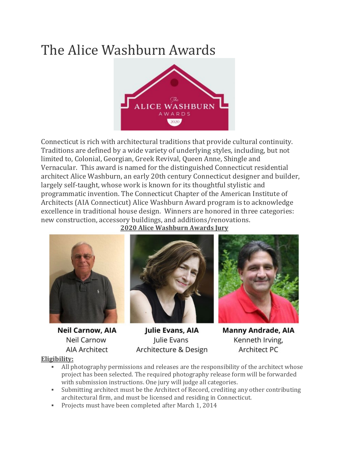# The Alice Washburn Awards



Connecticut is rich with architectural traditions that provide cultural continuity. Traditions are defined by a wide variety of underlying styles, including, but not limited to, Colonial, Georgian, Greek Revival, Queen Anne, Shingle and Vernacular. This award is named for the distinguished Connecticut residential architect Alice Washburn, an early 20th century Connecticut designer and builder, largely self-taught, whose work is known for its thoughtful stylistic and programmatic invention. The Connecticut Chapter of the American Institute of Architects (AIA Connecticut) Alice Washburn Award program is to acknowledge excellence in traditional house design. Winners are honored in three categories: new construction, accessory buildings, and additions/renovations.

**2020 Alice Washburn Awards Jury**



**Neil Carnow, AIA** Neil Carnow **AIA Architect** 



Julie Evans, AIA Julie Evans Architecture & Design



**Manny Andrade, AIA** Kenneth Irving, **Architect PC** 

**Eligibility:**

- All photography permissions and releases are the responsibility of the architect whose project has been selected. The required photography release form will be forwarded with submission instructions. One jury will judge all categories.
- Submitting architect must be the Architect of Record, crediting any other contributing architectural firm, and must be licensed and residing in Connecticut.
- Projects must have been completed after March 1, 2014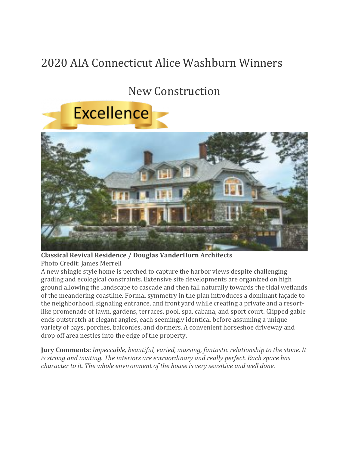## 2020 AIA Connecticut Alice Washburn Winners

## New Construction



**Classical Revival Residence / Douglas VanderHorn Architects** Photo Credit: James Merrell

A new shingle style home is perched to capture the harbor views despite challenging grading and ecological constraints. Extensive site developments are organized on high ground allowing the landscape to cascade and then fall naturally towards the tidal wetlands of the meandering coastline. Formal symmetry in the plan introduces a dominant façade to the neighborhood, signaling entrance, and front yard while creating a private and a resortlike promenade of lawn, gardens, terraces, pool, spa, cabana, and sport court. Clipped gable ends outstretch at elegant angles, each seemingly identical before assuming a unique variety of bays, porches, balconies, and dormers. A convenient horseshoe driveway and drop off area nestles into the edge of the property.

**Jury Comments:** *Impeccable, beautiful, varied, massing, fantastic relationship to the stone. It is strong and inviting. The interiors are extraordinary and really perfect. Each space has character to it. The whole environment of the house is very sensitive and well done.*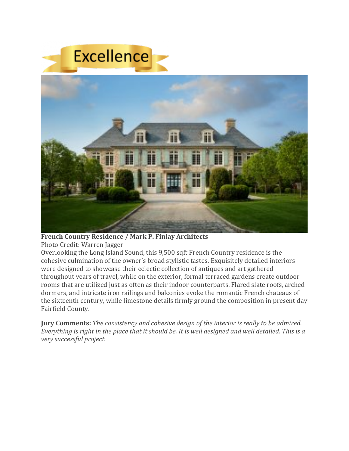

**French Country Residence / Mark P. Finlay Architects**

Photo Credit: Warren Jagger

Overlooking the Long Island Sound, this 9,500 sqft French Country residence is the cohesive culmination of the owner's broad stylistic tastes. Exquisitely detailed interiors were designed to showcase their eclectic collection of antiques and art gathered throughout years of travel, while on the exterior, formal terraced gardens create outdoor rooms that are utilized just as often as their indoor counterparts. Flared slate roofs, arched dormers, and intricate iron railings and balconies evoke the romantic French chateaus of the sixteenth century, while limestone details firmly ground the composition in present day Fairfield County.

**Jury Comments:** *The consistency and cohesive design of the interior is really to be admired.* Everything is right in the place that it should be. It is well designed and well detailed. This is a *very successful project.*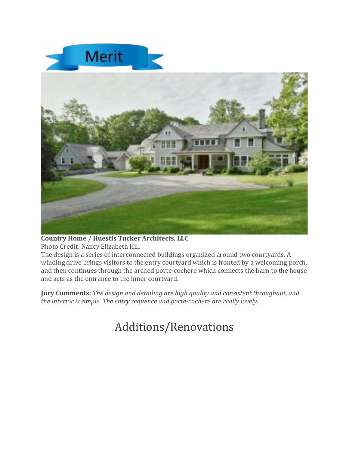

#### **Country Home / Huestis Tucker Architects, LLC**

Photo Credit: Nancy Elizabeth Hill

The design is a series of interconnected buildings organized around two courtyards. A winding drive brings visitors to the entry courtyard which is fronted by a welcoming porch, and then continues through the arched porte-cochere which connects the barn to the house and acts as the entrance to the inner courtyard.

**Jury Comments:** *The design and detailing are high quality and consistent throughout, and the interior is simple. The entry sequence and porte-cochere are really lovely.*

## Additions/Renovations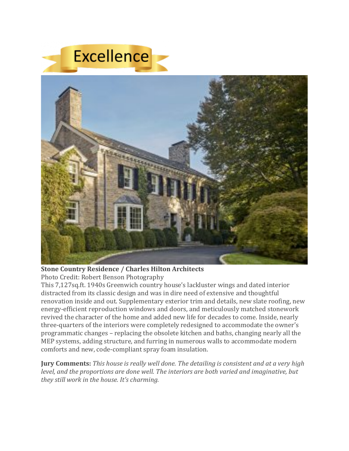

**Stone Country Residence / Charles Hilton Architects**

Photo Credit: Robert Benson Photography

This 7,127sq.ft. 1940s Greenwich country house's lackluster wings and dated interior distracted from its classic design and was in dire need of extensive and thoughtful renovation inside and out. Supplementary exterior trim and details, new slate roofing, new energy-efficient reproduction windows and doors, and meticulously matched stonework revived the character of the home and added new life for decades to come. Inside, nearly three-quarters of the interiors were completely redesigned to accommodate the owner's programmatic changes – replacing the obsolete kitchen and baths, changing nearly all the MEP systems, adding structure, and furring in numerous walls to accommodate modern comforts and new, code-compliant spray foam insulation.

**Jury Comments:** *This house is really well done. The detailing is consistent and at a very high level, and the proportions are done well. The interiors are both varied and imaginative, but they still work in the house. It's charming.*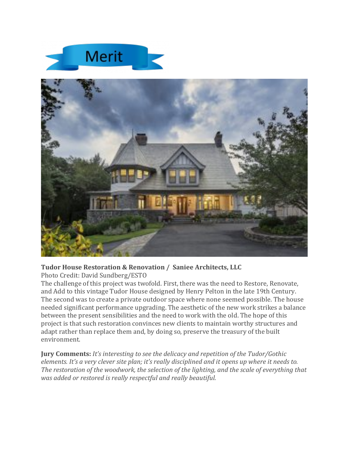



#### **Tudor House Restoration & Renovation / Saniee Architects, LLC**

Photo Credit: David Sundberg/ESTO

The challenge of this project was twofold. First, there was the need to Restore, Renovate, and Add to this vintage Tudor House designed by Henry Pelton in the late 19th Century. The second was to create a private outdoor space where none seemed possible. The house needed significant performance upgrading. The aesthetic of the new work strikes a balance between the present sensibilities and the need to work with the old. The hope of this project is that such restoration convinces new clients to maintain worthy structures and adapt rather than replace them and, by doing so, preserve the treasury of the built environment.

**Jury Comments:** *It's interesting to see the delicacy and repetition of the Tudor/Gothic elements. It's a very clever site plan; it's really disciplined and it opens up where it needs to. The restoration of the woodwork, the selection of the lighting, and the scale of everything that was added or restored is really respectful and really beautiful.*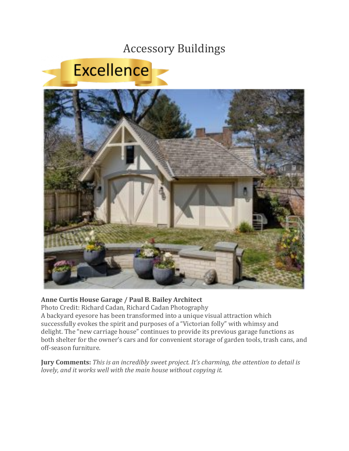### Accessory Buildings



#### **Anne Curtis House Garage / Paul B. Bailey Architect**

Photo Credit: Richard Cadan, Richard Cadan Photography

A backyard eyesore has been transformed into a unique visual attraction which successfully evokes the spirit and purposes of a "Victorian folly" with whimsy and delight. The "new carriage house" continues to provide its previous garage functions as both shelter for the owner's cars and for convenient storage of garden tools, trash cans, and off-season furniture.

**Jury Comments:** *This is an incredibly sweet project. It's charming, the attention to detail is lovely, and it works well with the main house without copying it.*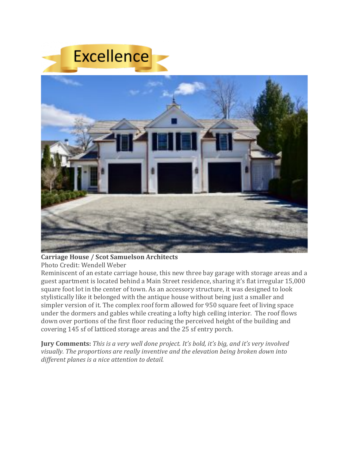

#### **Carriage House / Scot Samuelson Architects**

Photo Credit: Wendell Weber

Reminiscent of an estate carriage house, this new three bay garage with storage areas and a guest apartment is located behind a Main Street residence, sharing it's flat irregular 15,000 square foot lot in the center of town. As an accessory structure, it was designed to look stylistically like it belonged with the antique house without being just a smaller and simpler version of it. The complex roof form allowed for 950 square feet of living space under the dormers and gables while creating a lofty high ceiling interior. The roof flows down over portions of the first floor reducing the perceived height of the building and covering 145 sf of latticed storage areas and the 25 sf entry porch.

**Jury Comments:** *This is a very well done project. It's bold, it's big, and it's very involved visually. The proportions are really inventive and the elevation being broken down into different planes is a nice attention to detail.*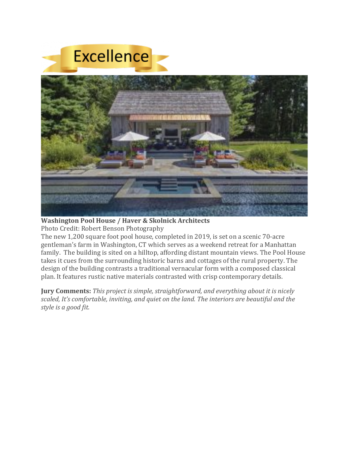

**Washington Pool House / Haver & Skolnick Architects**

Photo Credit: Robert Benson Photography

The new 1,200 square foot pool house, completed in 2019, is set on a scenic 70-acre gentleman's farm in Washington, CT which serves as a weekend retreat for a Manhattan family. The building is sited on a hilltop, affording distant mountain views. The Pool House takes it cues from the surrounding historic barns and cottages of the rural property. The design of the building contrasts a traditional vernacular form with a composed classical plan. It features rustic native materials contrasted with crisp contemporary details.

**Jury Comments:** *This project is simple, straightforward, and everything about it is nicely scaled, It's comfortable, inviting, and quiet on the land. The interiors are beautiful and the style is a good fit.*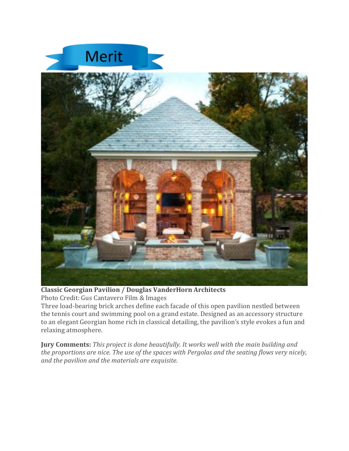



**Classic Georgian Pavilion / Douglas VanderHorn Architects** Photo Credit: Gus Cantavero Film & Images

Three load-bearing brick arches define each facade of this open pavilion nestled between the tennis court and swimming pool on a grand estate. Designed as an accessory structure to an elegant Georgian home rich in classical detailing, the pavilion's style evokes a fun and relaxing atmosphere.

**Jury Comments:** *This project is done beautifully. It works well with the main building and the proportions are nice. The use of the spaces with Pergolas and the seating flows very nicely, and the pavilion and the materials are exquisite.*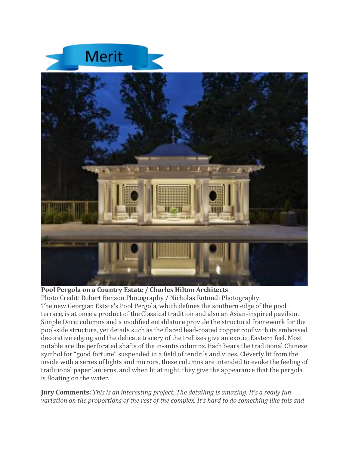



#### **Pool Pergola on a Country Estate / Charles Hilton Architects**

Photo Credit: Robert Benson Photography / Nicholas Rotondi Photography The new Georgian Estate's Pool Pergola, which defines the southern edge of the pool terrace, is at once a product of the Classical tradition and also an Asian-inspired pavilion. Simple Doric columns and a modified entablature provide the structural framework for the pool-side structure, yet details such as the flared lead-coated copper roof with its embossed decorative edging and the delicate tracery of the trellises give an exotic, Eastern feel. Most notable are the perforated shafts of the in-antis columns. Each bears the traditional Chinese symbol for "good fortune" suspended in a field of tendrils and vines. Cleverly lit from the inside with a series of lights and mirrors, these columns are intended to evoke the feeling of traditional paper lanterns, and when lit at night, they give the appearance that the pergola is floating on the water.

**Jury Comments:** *This is an interesting project. The detailing is amazing. It's a really fun variation on the proportions of the rest of the complex. It's hard to do something like this and*